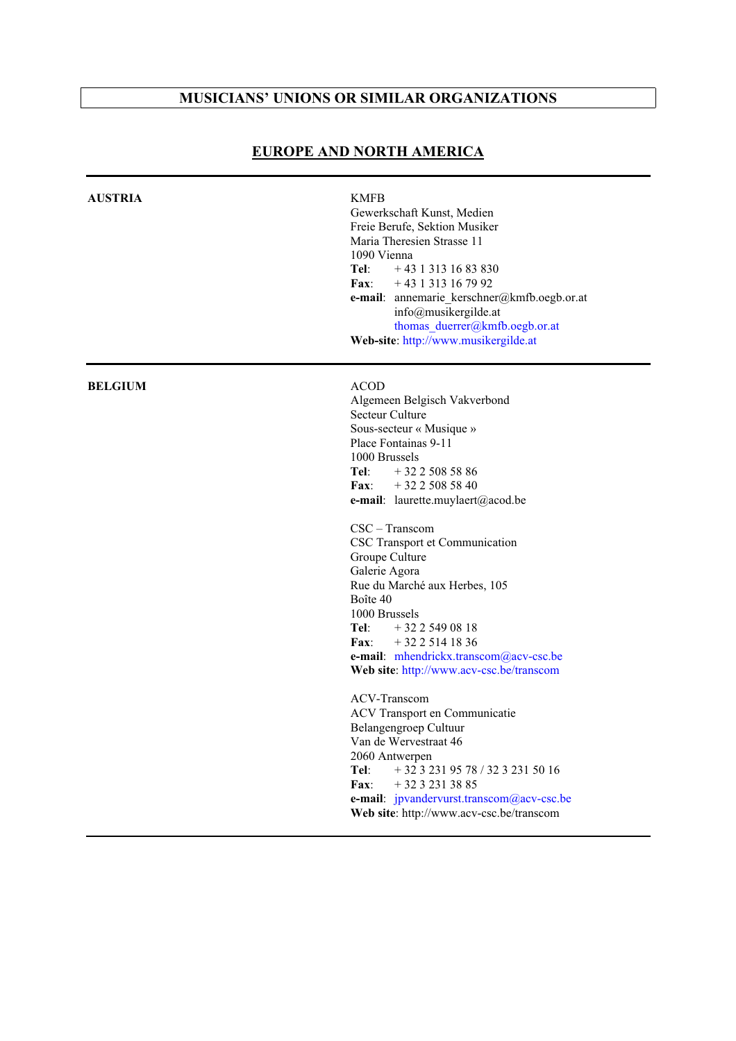# **MUSICIANS' UNIONS OR SIMILAR ORGANIZATIONS**

| <b>AUSTRIA</b> | <b>KMFB</b><br>Gewerkschaft Kunst, Medien<br>Freie Berufe, Sektion Musiker<br>Maria Theresien Strasse 11<br>1090 Vienna<br>Tel:<br>$+43$ 1 313 16 83 830<br>Fax:<br>$+43$ 1 313 16 79 92<br>e-mail: annemarie_kerschner@kmfb.oegb.or.at<br>info@musikergilde.at<br>thomas duerrer@kmfb.oegb.or.at<br>Web-site: http://www.musikergilde.at                                                                                                                                                                                                                                                                                                                                                                                                                                                                                 |
|----------------|---------------------------------------------------------------------------------------------------------------------------------------------------------------------------------------------------------------------------------------------------------------------------------------------------------------------------------------------------------------------------------------------------------------------------------------------------------------------------------------------------------------------------------------------------------------------------------------------------------------------------------------------------------------------------------------------------------------------------------------------------------------------------------------------------------------------------|
| <b>BELGIUM</b> | <b>ACOD</b><br>Algemeen Belgisch Vakverbond<br>Secteur Culture<br>Sous-secteur « Musique »<br>Place Fontainas 9-11<br>1000 Brussels<br>Tel:<br>$+3225085886$<br>$+3225085840$<br><b>Fax:</b><br>e-mail: laurette.muylaert@acod.be<br>CSC - Transcom<br>CSC Transport et Communication<br>Groupe Culture<br>Galerie Agora<br>Rue du Marché aux Herbes, 105<br>Boîte 40<br>1000 Brussels<br>Tel:<br>$+3225490818$<br>$+3225141836$<br>$\bf{Fax:}$<br>e-mail: mhendrickx.transcom@acv-csc.be<br>Web site: http://www.acv-csc.be/transcom<br>ACV-Transcom<br>ACV Transport en Communicatie<br>Belangengroep Cultuur<br>Van de Wervestraat 46<br>2060 Antwerpen<br>+ 32 3 231 95 78 / 32 3 231 50 16<br>Tel:<br>Fax:<br>$+3232313885$<br>e-mail: ipvandervurst.transcom@acv-csc.be<br>Web site: http://www.acv-csc.be/transcom |

## **EUROPE AND NORTH AMERICA**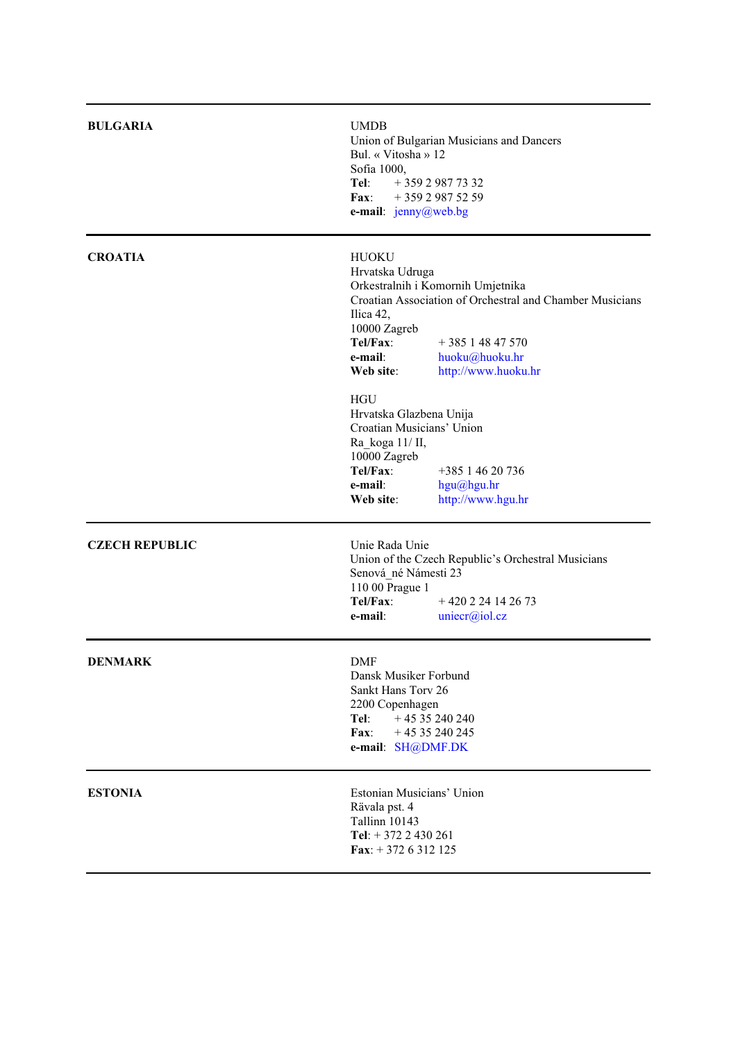| <b>BULGARIA</b>       | <b>UMDB</b><br>Union of Bulgarian Musicians and Dancers<br>Bul. « Vitosha » 12<br>Sofia 1000,<br>Tel:<br>$+35929877332$<br>+359 2 987 52 59<br><b>Fax:</b><br>e-mail: jenny@web.bg                                                                           |
|-----------------------|--------------------------------------------------------------------------------------------------------------------------------------------------------------------------------------------------------------------------------------------------------------|
| <b>CROATIA</b>        | <b>HUOKU</b><br>Hrvatska Udruga<br>Orkestralnih i Komornih Umjetnika<br>Croatian Association of Orchestral and Chamber Musicians<br>Ilica 42,<br>10000 Zagreb<br>Tel/Fax:<br>$+38514847570$<br>e-mail:<br>huoku@huoku.hr<br>Web site:<br>http://www.huoku.hr |
|                       | <b>HGU</b><br>Hrvatska Glazbena Unija<br>Croatian Musicians' Union<br>Ra koga 11/ II,<br>10000 Zagreb<br>Tel/Fax:<br>+385 1 46 20 736<br>e-mail:<br>hgu@hgu.hr<br>http://www.hgu.hr<br>Web site:                                                             |
| <b>CZECH REPUBLIC</b> | Unie Rada Unie<br>Union of the Czech Republic's Orchestral Musicians<br>Senová_né Námesti 23<br>110 00 Prague 1<br>Tel/Fax:<br>$+420224142673$<br>e-mail:<br>uniecr@iol.cz                                                                                   |
| <b>DENMARK</b>        | <b>DMF</b><br>Dansk Musiker Forbund<br>Sankt Hans Torv 26<br>2200 Copenhagen<br>$+4535240240$<br>Tel:<br>$+4535240245$<br>Fax:<br>e-mail: SH@DMF.DK                                                                                                          |
| <b>ESTONIA</b>        | Estonian Musicians' Union<br>Rävala pst. 4<br>Tallinn 10143<br>Tel: $+ 372 2 430 261$<br>Fax: $+3726312125$                                                                                                                                                  |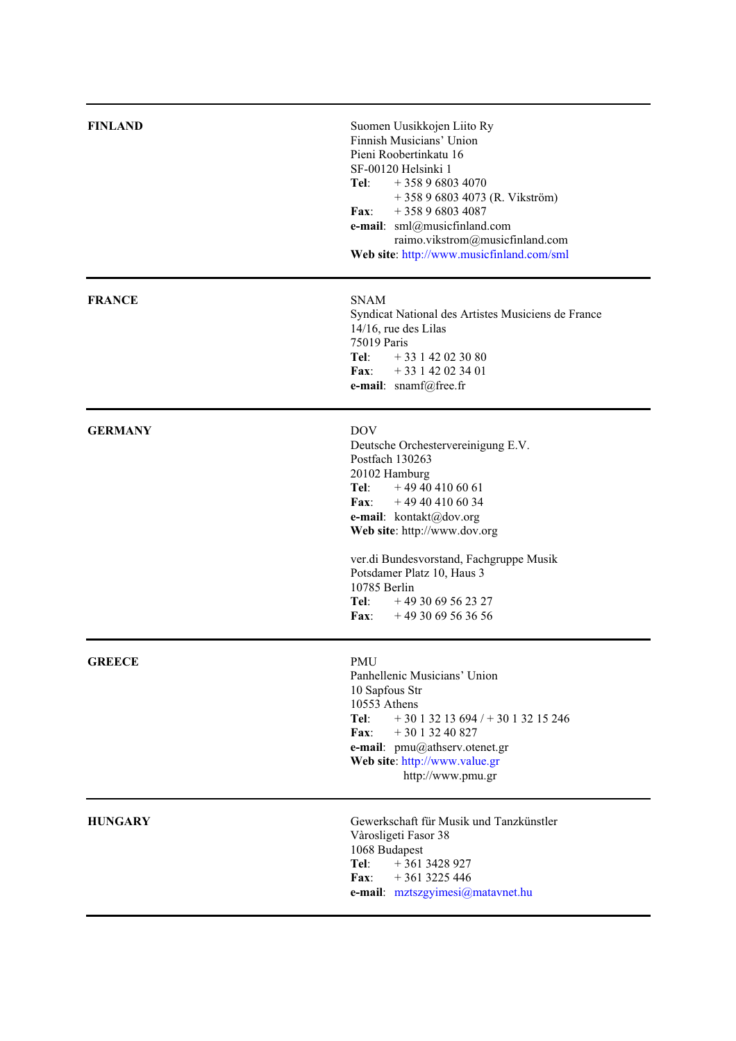| <b>FINLAND</b> | Suomen Uusikkojen Liito Ry<br>Finnish Musicians' Union<br>Pieni Roobertinkatu 16<br>SF-00120 Helsinki 1<br>Tel:<br>$+358968034070$<br>+ 358 9 6803 4073 (R. Vikström)<br>$+358968034087$<br>Fax:<br>e-mail: sml@musicfinland.com<br>raimo.vikstrom@musicfinland.com<br>Web site: http://www.musicfinland.com/sml                                           |
|----------------|------------------------------------------------------------------------------------------------------------------------------------------------------------------------------------------------------------------------------------------------------------------------------------------------------------------------------------------------------------|
| <b>FRANCE</b>  | <b>SNAM</b><br>Syndicat National des Artistes Musiciens de France<br>$14/16$ , rue des Lilas<br>75019 Paris<br>Tel:<br>$+33142023080$<br><b>Fax:</b><br>$+33142023401$<br>e-mail: snamf@free.fr                                                                                                                                                            |
| <b>GERMANY</b> | <b>DOV</b><br>Deutsche Orchestervereinigung E.V.<br>Postfach 130263<br>20102 Hamburg<br>Tel:<br>$+49404106061$<br>$\mathbf{Fax}:$<br>$+49404106034$<br>e-mail: kontakt@dov.org<br>Web site: http://www.dov.org<br>ver.di Bundesvorstand, Fachgruppe Musik<br>Potsdamer Platz 10, Haus 3<br>10785 Berlin<br>Tel:<br>$+493069562327$<br>Fax: $+493069563656$ |
| <b>GREECE</b>  | <b>PMU</b><br>Panhellenic Musicians' Union<br>10 Sapfous Str<br>10553 Athens<br>Tel:<br>$+3013213694/+3013215246$<br>$+3013240827$<br>$\mathbf{Fax}$<br>e-mail: pmu@athserv.otenet.gr<br>Web site: http://www.value.gr<br>http://www.pmu.gr                                                                                                                |
| <b>HUNGARY</b> | Gewerkschaft für Musik und Tanzkünstler<br>Vàrosligeti Fasor 38<br>1068 Budapest<br>Tel:<br>$+3613428927$<br>$+3613225446$<br>Fax:<br>e-mail: mztszgyimesi@matavnet.hu                                                                                                                                                                                     |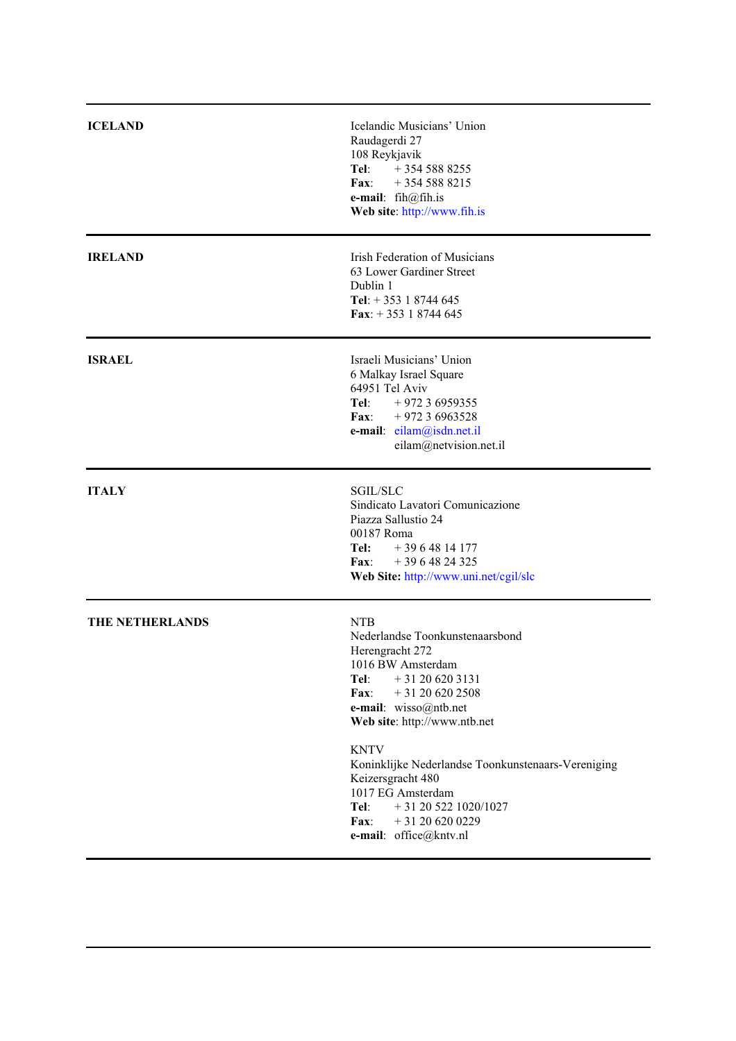| <b>ICELAND</b>  | Icelandic Musicians' Union<br>Raudagerdi 27<br>108 Reykjavik<br>Tel:<br>$+3545888255$<br>Fax:<br>$+3545888215$<br>e-mail: fih@fih.is<br>Web site: http://www.fih.is                                                                                                                                                                                                                                              |
|-----------------|------------------------------------------------------------------------------------------------------------------------------------------------------------------------------------------------------------------------------------------------------------------------------------------------------------------------------------------------------------------------------------------------------------------|
| <b>IRELAND</b>  | Irish Federation of Musicians<br>63 Lower Gardiner Street<br>Dublin 1<br>Tel: $+ 353$ 1 8744 645<br>Fax: $+353$ 1 8744 645                                                                                                                                                                                                                                                                                       |
| <b>ISRAEL</b>   | Israeli Musicians' Union<br>6 Malkay Israel Square<br>64951 Tel Aviv<br>Tel: $+97236959355$<br>$\mathbf{Fax}:$<br>$+97236963528$<br>e-mail: eilam@isdn.net.il<br>eilam@netvision.net.il                                                                                                                                                                                                                          |
| <b>ITALY</b>    | <b>SGIL/SLC</b><br>Sindicato Lavatori Comunicazione<br>Piazza Sallustio 24<br>00187 Roma<br>Tel:<br>$+3964814177$<br>$+3964824325$<br><b>Fax:</b><br>Web Site: http://www.uni.net/cgil/slc                                                                                                                                                                                                                       |
| THE NETHERLANDS | <b>NTB</b><br>Nederlandse Toonkunstenaarsbond<br>Herengracht 272<br>1016 BW Amsterdam<br>Tel:<br>$+31206203131$<br>$+31206202508$<br>$\mathbf{Fax}$ :<br>e-mail: wisso@ntb.net<br>Web site: http://www.ntb.net<br><b>KNTV</b><br>Koninklijke Nederlandse Toonkunstenaars-Vereniging<br>Keizersgracht 480<br>1017 EG Amsterdam<br>Tel:<br>$+31205221020/1027$<br>Fax:<br>$+31206200229$<br>e-mail: office@kntv.nl |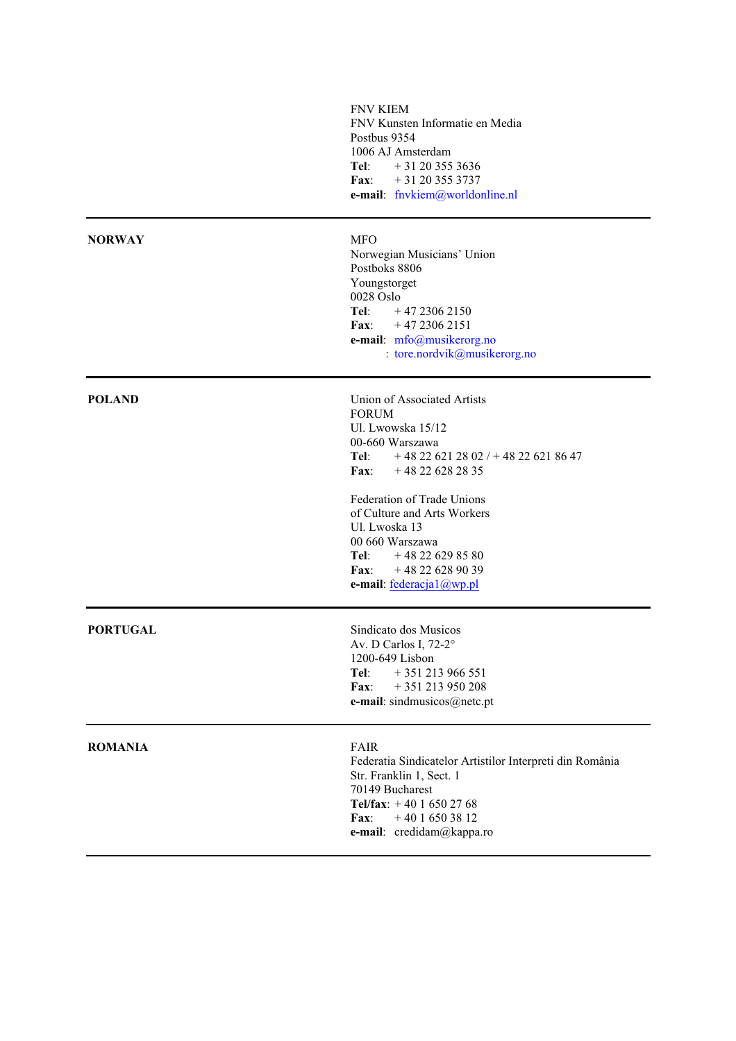|                 | <b>FNV KIEM</b><br>FNV Kunsten Informatie en Media<br>Postbus 9354<br>1006 AJ Amsterdam<br>Tel:<br>$+31203553636$<br>$+31203553737$<br>$\mathbf{Fax}$<br>e-mail: fnvkiem@worldonline.nl                                                                                                                                                      |
|-----------------|----------------------------------------------------------------------------------------------------------------------------------------------------------------------------------------------------------------------------------------------------------------------------------------------------------------------------------------------|
| <b>NORWAY</b>   | <b>MFO</b><br>Norwegian Musicians' Union<br>Postboks 8806<br>Youngstorget<br>0028 Oslo<br>Tel:<br>$+4723062150$<br>$\bf{Fax:}$<br>$+4723062151$<br>e-mail: mfo@musikerorg.no<br>: tore.nordvik@musikerorg.no                                                                                                                                 |
| <b>POLAND</b>   | Union of Associated Artists<br><b>FORUM</b><br>Ul. Lwowska 15/12<br>00-660 Warszawa<br>$+48226212802/+48226218647$<br>Tel:<br>$+48226282835$<br>Fax:<br>Federation of Trade Unions<br>of Culture and Arts Workers<br>Ul. Lwoska 13<br>00 660 Warszawa<br>$+48226298580$<br>Tel:<br>$+48226289039$<br><b>Fax:</b><br>e-mail: federacja1@wp.pl |
| <b>PORTUGAL</b> | Sindicato dos Musicos<br>Av. D Carlos I, 72-2°<br>1200-649 Lisbon<br>Tel:<br>$+351213966551$<br>+351 213 950 208<br>Fax:<br>e-mail: sindmusicos@netc.pt                                                                                                                                                                                      |
| <b>ROMANIA</b>  | <b>FAIR</b><br>Federatia Sindicatelor Artistilor Interpreti din România<br>Str. Franklin 1, Sect. 1<br>70149 Bucharest<br>Tel/fax: $+4016502768$<br>$+4016503812$<br>$\mathbf{Fax}:$<br>e-mail: credidam@kappa.ro                                                                                                                            |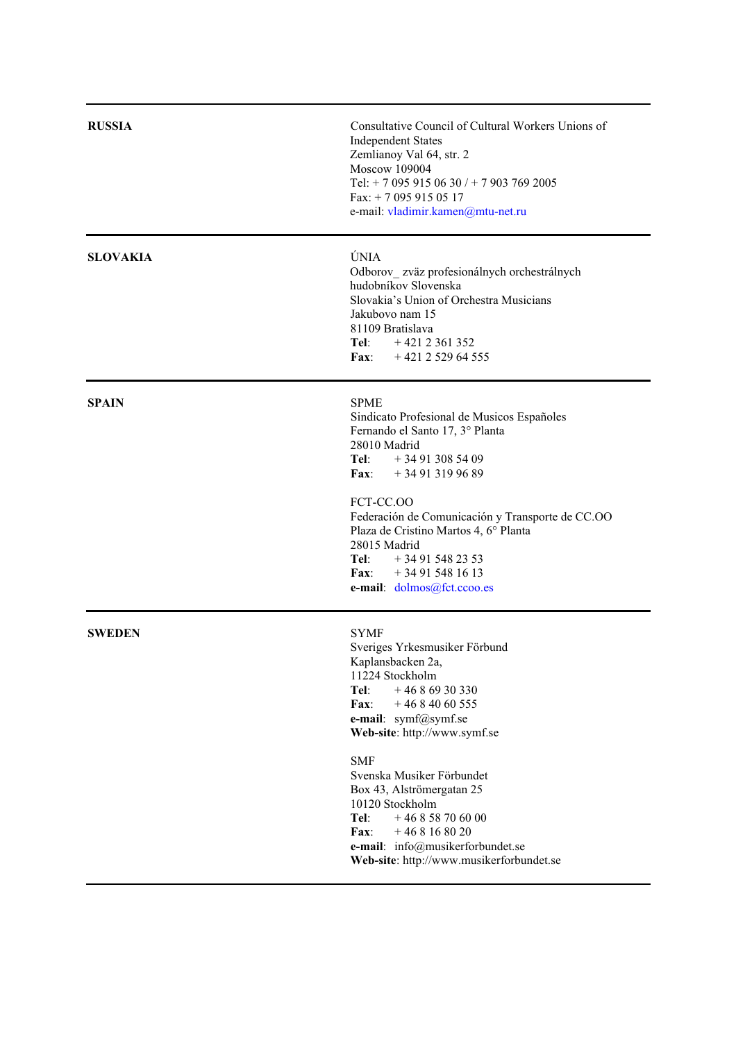| <b>RUSSIA</b>   | Consultative Council of Cultural Workers Unions of<br><b>Independent States</b><br>Zemlianoy Val 64, str. 2<br>Moscow 109004<br>Tel: + 7 095 915 06 30 / + 7 903 769 2005<br>Fax: $+ 70959150517$<br>e-mail: vladimir.kamen@mtu-net.ru                                                                                                                                     |
|-----------------|----------------------------------------------------------------------------------------------------------------------------------------------------------------------------------------------------------------------------------------------------------------------------------------------------------------------------------------------------------------------------|
| <b>SLOVAKIA</b> | ÚNIA<br>Odborov_zväz profesionálnych orchestrálnych<br>hudobníkov Slovenska<br>Slovakia's Union of Orchestra Musicians<br>Jakubovo nam 15<br>81109 Bratislava<br>Tel: $+4212361352$<br>Fax: $+421252964555$                                                                                                                                                                |
| <b>SPAIN</b>    | <b>SPME</b><br>Sindicato Profesional de Musicos Españoles<br>Fernando el Santo 17, 3º Planta<br>28010 Madrid<br>Tel: $+34913085409$<br>Fax:<br>$+34913199689$<br>FCT-CC.OO<br>Federación de Comunicación y Transporte de CC.OO<br>Plaza de Cristino Martos 4, 6º Planta<br>28015 Madrid<br><b>Tel:</b> $+34915482353$<br>Fax: $+34915481613$<br>e-mail: dolmos@fct.ccoo.es |
| <b>SWEDEN</b>   | <b>SYMF</b><br>Sveriges Yrkesmusiker Förbund<br>Kaplansbacken 2a,<br>11224 Stockholm<br>$+4686930330$<br>Tel:<br>Fax:<br>$+4684060555$<br>e-mail: symf@symf.se<br>Web-site: http://www.symf.se                                                                                                                                                                             |
|                 | <b>SMF</b><br>Svenska Musiker Förbundet<br>Box 43, Alströmergatan 25<br>10120 Stockholm<br>$+46858706000$<br>Tel:<br>$+468168020$<br>$\mathbf{Fax}$ :<br>e-mail: info@musikerforbundet.se<br>Web-site: http://www.musikerforbundet.se                                                                                                                                      |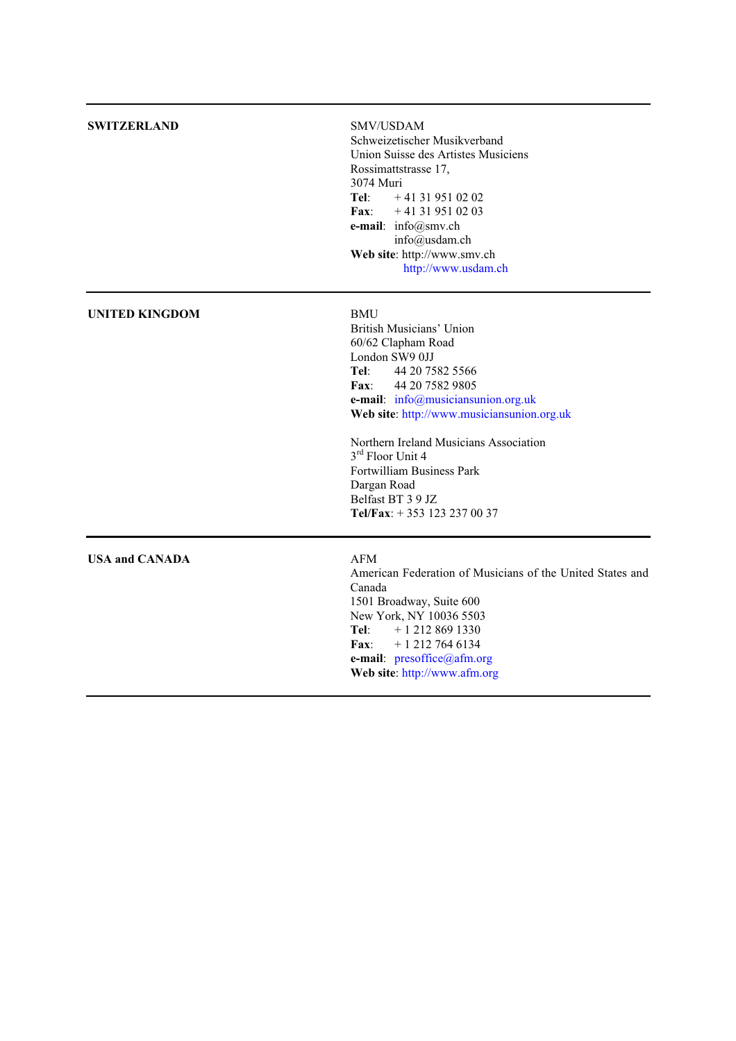| <b>SWITZERLAND</b>    | SMV/USDAM<br>Schweizetischer Musikverband<br>Union Suisse des Artistes Musiciens<br>Rossimattstrasse 17,<br>3074 Muri<br>$+41319510202$<br>Tel:<br>$+41319510203$<br><b>Fax:</b><br>e-mail: info@smv.ch<br>info@usdam.ch<br>Web site: http://www.smv.ch<br>http://www.usdam.ch                                                                                                                                |
|-----------------------|---------------------------------------------------------------------------------------------------------------------------------------------------------------------------------------------------------------------------------------------------------------------------------------------------------------------------------------------------------------------------------------------------------------|
| <b>UNITED KINGDOM</b> | <b>BMU</b><br>British Musicians' Union<br>60/62 Clapham Road<br>London SW9 0JJ<br>Tel:<br>44 20 7582 5566<br>44 20 7582 9805<br>$\mathbf{Fax}:$<br>e-mail: info@musiciansunion.org.uk<br>Web site: http://www.musiciansunion.org.uk<br>Northern Ireland Musicians Association<br>3 <sup>rd</sup> Floor Unit 4<br>Fortwilliam Business Park<br>Dargan Road<br>Belfast BT 3 9 JZ<br>Tel/Fax: +353 123 237 00 37 |
| <b>USA and CANADA</b> | <b>AFM</b><br>American Federation of Musicians of the United States and<br>Canada<br>1501 Broadway, Suite 600<br>New York, NY 10036 5503<br>Tel:<br>$+12128691330$<br>$+ 1$ 212 764 6134<br><b>Fax:</b><br>e-mail: presoffice@afm.org<br>Web site: http://www.afm.org                                                                                                                                         |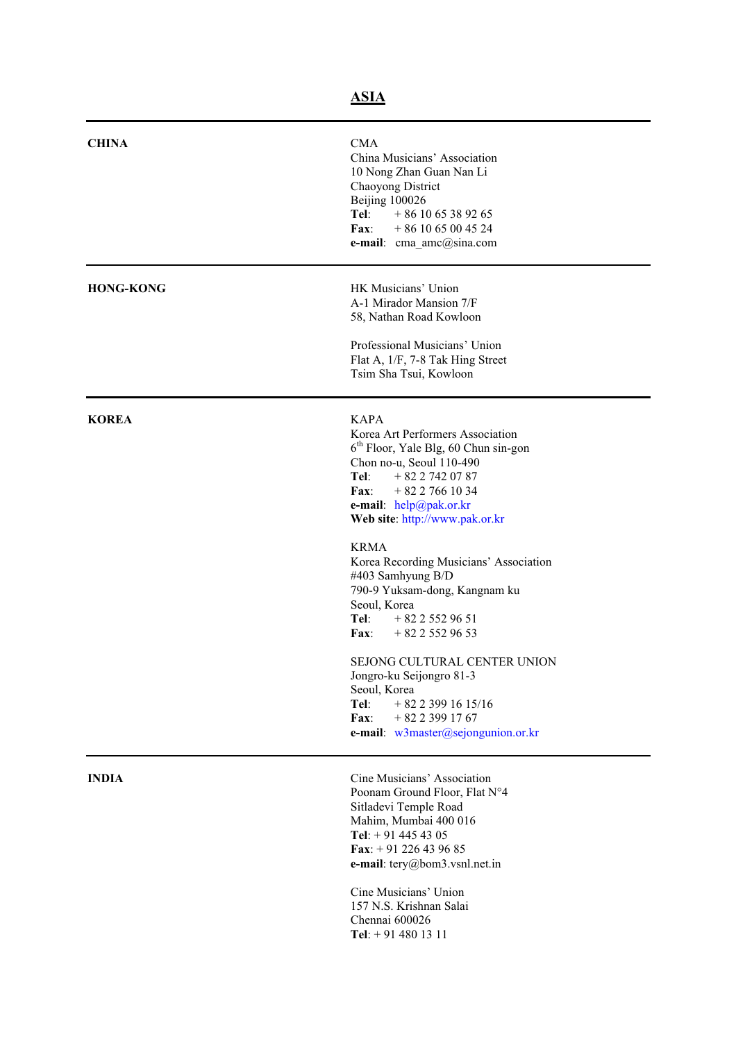| <b>CHINA</b>     | <b>CMA</b><br>China Musicians' Association<br>10 Nong Zhan Guan Nan Li<br>Chaoyong District<br>Beijing 100026<br>Tel:<br>$+861065389265$<br><b>Fax:</b><br>$+861065004524$<br>e-mail: cma_amc@sina.com                                                                                                                                                                                                                                                                                                                                                                                                              |
|------------------|---------------------------------------------------------------------------------------------------------------------------------------------------------------------------------------------------------------------------------------------------------------------------------------------------------------------------------------------------------------------------------------------------------------------------------------------------------------------------------------------------------------------------------------------------------------------------------------------------------------------|
| <b>HONG-KONG</b> | HK Musicians' Union<br>A-1 Mirador Mansion 7/F<br>58, Nathan Road Kowloon<br>Professional Musicians' Union<br>Flat A, 1/F, 7-8 Tak Hing Street<br>Tsim Sha Tsui, Kowloon                                                                                                                                                                                                                                                                                                                                                                                                                                            |
| <b>KOREA</b>     | <b>KAPA</b><br>Korea Art Performers Association<br>6 <sup>th</sup> Floor, Yale Blg, 60 Chun sin-gon<br>Chon no-u, Seoul 110-490<br>Tel:<br>$+8227420787$<br>$+8227661034$<br>$\mathbf{Fax}:$<br>e-mail: $help@pak. or. kr$<br>Web site: http://www.pak.or.kr<br><b>KRMA</b><br>Korea Recording Musicians' Association<br>#403 Samhyung B/D<br>790-9 Yuksam-dong, Kangnam ku<br>Seoul, Korea<br>$+8225529651$<br>Tel: T<br>Fax: $+8225529653$<br>SEJONG CULTURAL CENTER UNION<br>Jongro-ku Seijongro 81-3<br>Seoul, Korea<br>Tel:<br>$+8223991615/16$<br>$+8223991767$<br>Fax:<br>e-mail: w3master@sejongunion.or.kr |
| <b>INDIA</b>     | Cine Musicians' Association<br>Poonam Ground Floor, Flat N°4<br>Sitladevi Temple Road<br>Mahim, Mumbai 400 016<br>Tel: $+914454305$<br>Fax: $+91$ 226 43 96 85<br>e-mail: $tery@bom3.vsnl.net.in$<br>Cine Musicians' Union<br>157 N.S. Krishnan Salai<br>Chennai 600026                                                                                                                                                                                                                                                                                                                                             |

**Tel**: + 91 480 13 11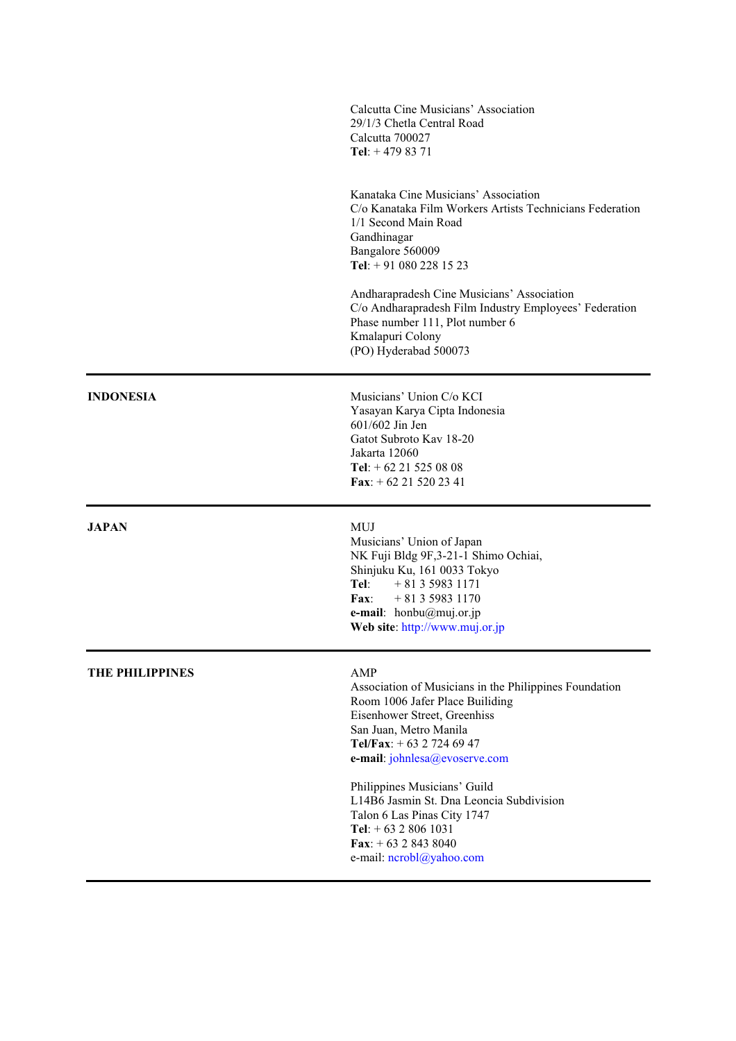|                        | Calcutta Cine Musicians' Association<br>29/1/3 Chetla Central Road<br>Calcutta 700027<br>Tel: $+4798371$                                                                                                                                             |
|------------------------|------------------------------------------------------------------------------------------------------------------------------------------------------------------------------------------------------------------------------------------------------|
|                        | Kanataka Cine Musicians' Association<br>C/o Kanataka Film Workers Artists Technicians Federation<br>1/1 Second Main Road<br>Gandhinagar<br>Bangalore 560009<br>Tel: $+910802281523$                                                                  |
|                        | Andharapradesh Cine Musicians' Association<br>C/o Andharapradesh Film Industry Employees' Federation<br>Phase number 111, Plot number 6<br>Kmalapuri Colony<br>(PO) Hyderabad 500073                                                                 |
| <b>INDONESIA</b>       | Musicians' Union C/o KCI<br>Yasayan Karya Cipta Indonesia<br>601/602 Jin Jen<br>Gatot Subroto Kay 18-20<br>Jakarta 12060<br>Tel: $+ 62 21 525 08 08$<br>Fax: $+ 62 21 520 23 41$                                                                     |
| <b>JAPAN</b>           | <b>MUJ</b><br>Musicians' Union of Japan<br>NK Fuji Bldg 9F,3-21-1 Shimo Ochiai,<br>Shinjuku Ku, 161 0033 Tokyo<br>Tel:<br>$+81359831171$<br>$+81359831170$<br>$\mathbf{Fax}:$<br>e-mail: $hombu(\omega mui.$ or.jp<br>Web site: http://www.muj.or.jp |
| <b>THE PHILIPPINES</b> | AMP<br>Association of Musicians in the Philippines Foundation<br>Room 1006 Jafer Place Builiding<br>Eisenhower Street, Greenhiss<br>San Juan, Metro Manila<br>Tel/Fax: $+ 63$ 2 724 69 47<br>e-mail: johnlesa@evoserve.com                           |
|                        | Philippines Musicians' Guild<br>L14B6 Jasmin St. Dna Leoncia Subdivision<br>Talon 6 Las Pinas City 1747<br>Tel: $+ 6328061031$<br>Fax: $+ 63 2 843 8040$<br>e-mail: ncrobl@yahoo.com                                                                 |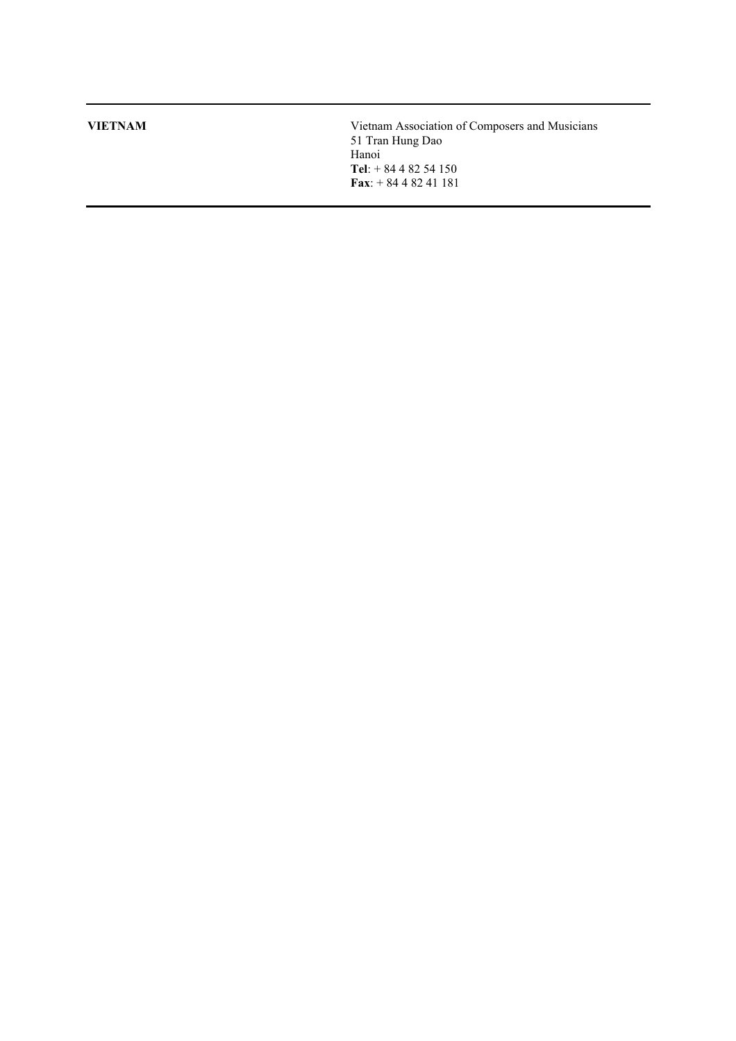**VIETNAM** Vietnam Association of Composers and Musicians 51 Tran Hung Dao Hanoi **Tel**: + 84 4 82 54 150 **Fax**: + 84 4 82 41 181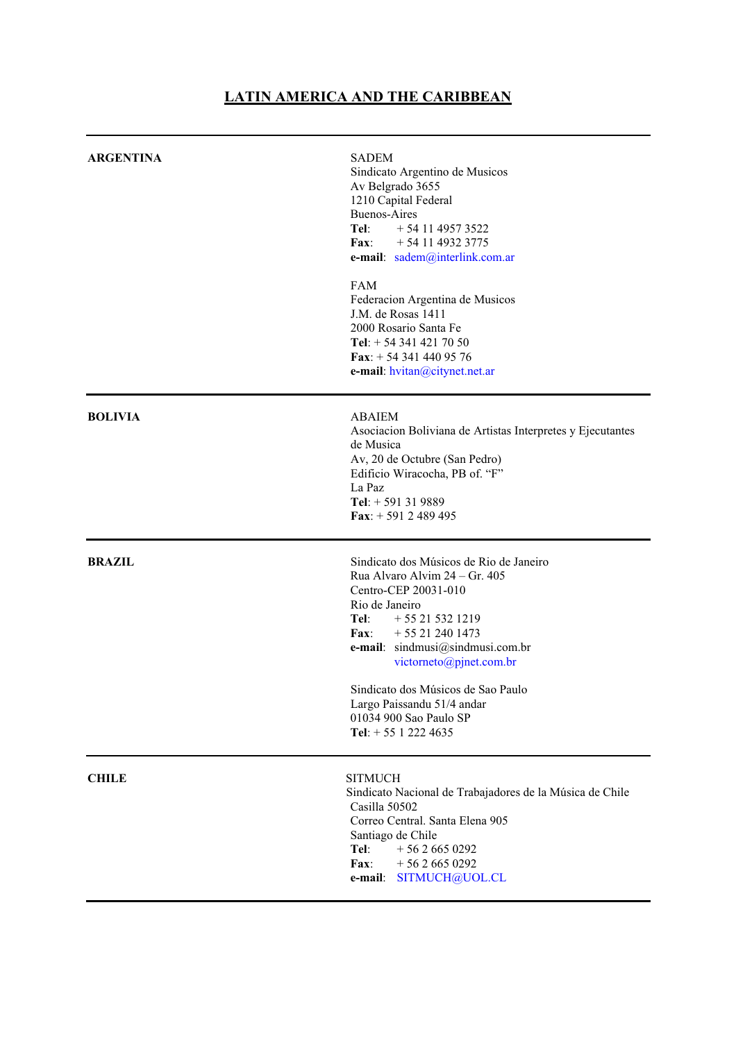# **LATIN AMERICA AND THE CARIBBEAN**

| <b>ARGENTINA</b> | <b>SADEM</b><br>Sindicato Argentino de Musicos<br>Av Belgrado 3655<br>1210 Capital Federal<br><b>Buenos-Aires</b><br>Tel:<br>$+541149573522$<br>$\mathbf{Fax}:$<br>$+541149323775$<br>e-mail: sadem@interlink.com.ar<br><b>FAM</b><br>Federacion Argentina de Musicos                                                                                          |
|------------------|----------------------------------------------------------------------------------------------------------------------------------------------------------------------------------------------------------------------------------------------------------------------------------------------------------------------------------------------------------------|
|                  | J.M. de Rosas 1411<br>2000 Rosario Santa Fe<br>Tel: $+ 543414217050$<br>Fax: $+ 543414409576$<br>e-mail: hvitan@citynet.net.ar                                                                                                                                                                                                                                 |
| <b>BOLIVIA</b>   | <b>ABAIEM</b><br>Asociacion Boliviana de Artistas Interpretes y Ejecutantes<br>de Musica<br>Av, 20 de Octubre (San Pedro)<br>Edificio Wiracocha, PB of. "F"<br>La Paz<br>Tel: $+ 591319889$<br>Fax: $+ 591 2 489 495$                                                                                                                                          |
| <b>BRAZIL</b>    | Sindicato dos Músicos de Rio de Janeiro<br>Rua Alvaro Alvim 24 – Gr. 405<br>Centro-CEP 20031-010<br>Rio de Janeiro<br>Tel:<br>$+ 55 21 532 1219$<br>Fax: $+55212401473$<br>e-mail: sindmusi@sindmusi.com.br<br>victorneto@pjnet.com.br<br>Sindicato dos Músicos de Sao Paulo<br>Largo Paissandu 51/4 andar<br>01034 900 Sao Paulo SP<br>Tel: $+ 55 1 222 4635$ |
| <b>CHILE</b>     | <b>SITMUCH</b><br>Sindicato Nacional de Trabajadores de la Música de Chile<br>Casilla 50502<br>Correo Central. Santa Elena 905<br>Santiago de Chile<br>Tel:<br>$+5626650292$<br>$+5626650292$<br><b>Fax:</b><br>SITMUCH@UOL.CL<br>e-mail:                                                                                                                      |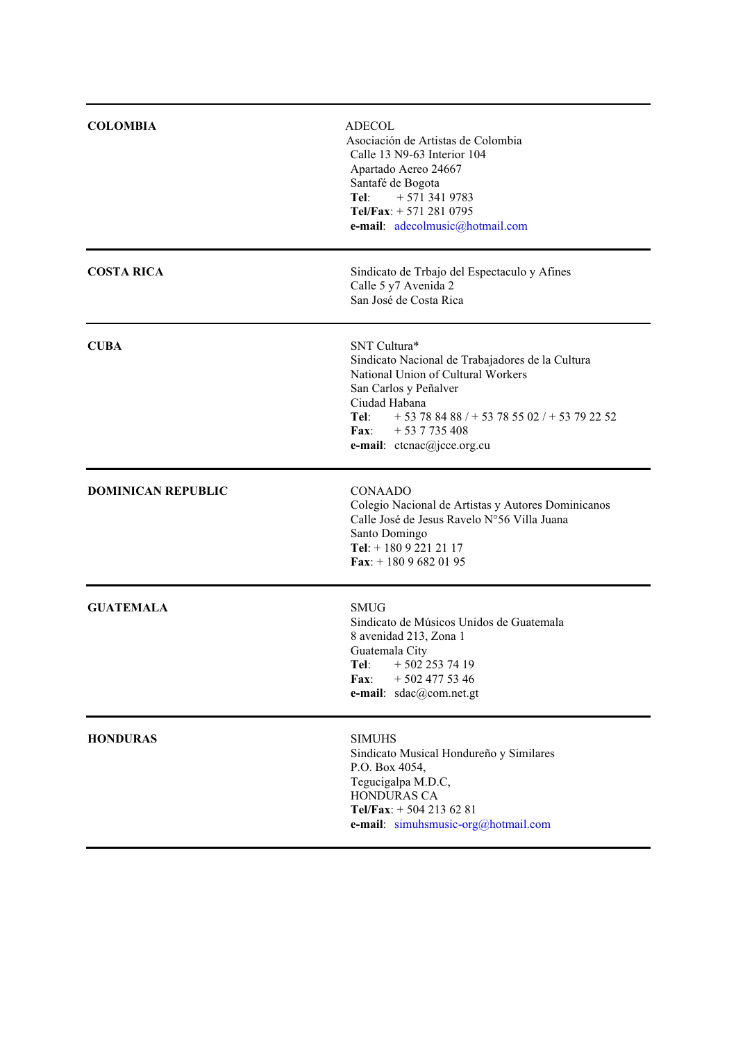| <b>COLOMBIA</b>           | <b>ADECOL</b><br>Asociación de Artistas de Colombia<br>Calle 13 N9-63 Interior 104<br>Apartado Aereo 24667<br>Santafé de Bogota<br>$+5713419783$<br>Tel:<br>Tel/Fax: $+ 5712810795$<br>e-mail: adecolmusic@hotmail.com                           |
|---------------------------|--------------------------------------------------------------------------------------------------------------------------------------------------------------------------------------------------------------------------------------------------|
| <b>COSTA RICA</b>         | Sindicato de Trbajo del Espectaculo y Afines<br>Calle 5 y7 Avenida 2<br>San José de Costa Rica                                                                                                                                                   |
| <b>CUBA</b>               | SNT Cultura*<br>Sindicato Nacional de Trabajadores de la Cultura<br>National Union of Cultural Workers<br>San Carlos y Peñalver<br>Ciudad Habana<br>Tel:<br>$+53788488/+5378502/+53792252$<br>$+537735408$<br>Fax:<br>e-mail: ctcnac@jcce.org.cu |
| <b>DOMINICAN REPUBLIC</b> | <b>CONAADO</b><br>Colegio Nacional de Artistas y Autores Dominicanos<br>Calle José de Jesus Ravelo N°56 Villa Juana<br>Santo Domingo<br>Tel: $+18092212117$<br>Fax: $+18096820195$                                                               |
| <b>GUATEMALA</b>          | <b>SMUG</b><br>Sindicato de Músicos Unidos de Guatemala<br>8 avenidad 213, Zona 1<br>Guatemala City<br>Tel: $+5022537419$<br>$+5024775346$<br>Fax:<br>e-mail: sdac@com.net.gt                                                                    |
| <b>HONDURAS</b>           | <b>SIMUHS</b><br>Sindicato Musical Hondureño y Similares<br>P.O. Box 4054,<br>Tegucigalpa M.D.C,<br>HONDURAS CA<br>Tel/Fax: $+ 5042136281$<br>e-mail: simuhsmusic-org@hotmail.com                                                                |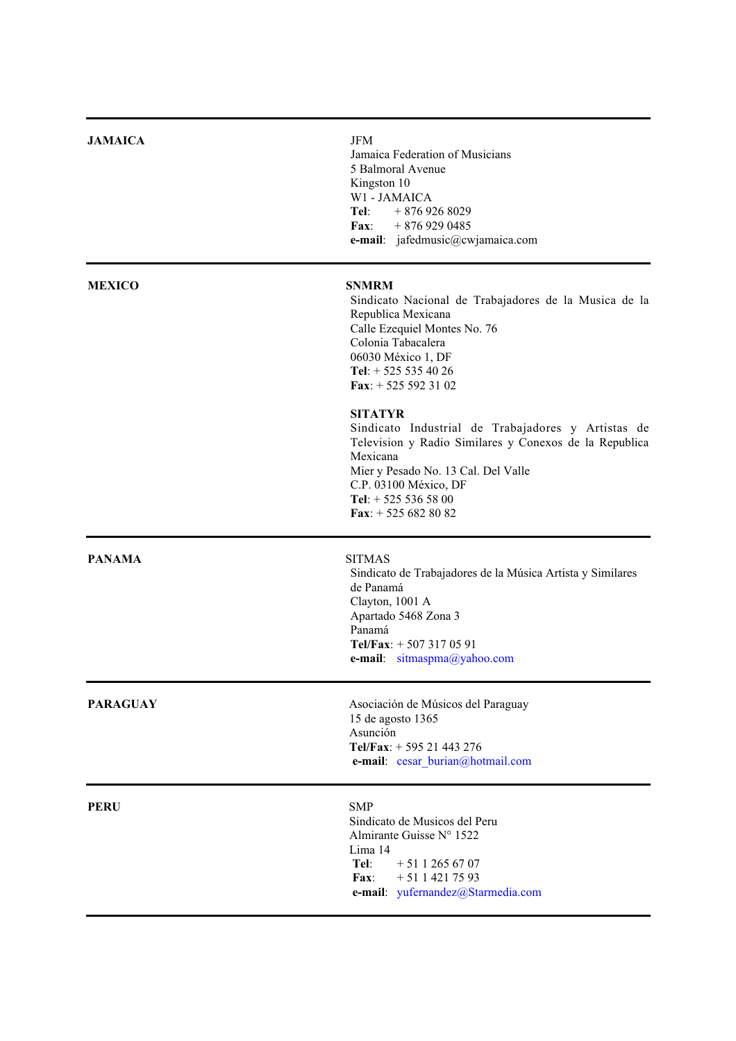| <b>JAMAICA</b>  | <b>JFM</b><br>Jamaica Federation of Musicians<br>5 Balmoral Avenue<br>Kingston 10<br>W1 - JAMAICA<br>Tel: $+8769268029$<br>Fax: $+8769290485$<br>e-mail: jafedmusic@cwjamaica.com                                                                           |
|-----------------|-------------------------------------------------------------------------------------------------------------------------------------------------------------------------------------------------------------------------------------------------------------|
| <b>MEXICO</b>   | <b>SNMRM</b><br>Sindicato Nacional de Trabajadores de la Musica de la<br>Republica Mexicana<br>Calle Ezequiel Montes No. 76<br>Colonia Tabacalera<br>06030 México 1, DF<br>Tel: $+ 525 535 40 26$<br>Fax: $+$ 525 592 31 02                                 |
|                 | <b>SITATYR</b><br>Sindicato Industrial de Trabajadores y Artistas de<br>Television y Radio Similares y Conexos de la Republica<br>Mexicana<br>Mier y Pesado No. 13 Cal. Del Valle<br>C.P. 03100 México, DF<br>Tel: $+ 525 536 58 00$<br>Fax: $+ 5256828082$ |
| <b>PANAMA</b>   | <b>SITMAS</b><br>Sindicato de Trabajadores de la Música Artista y Similares<br>de Panamá<br>Clayton, 1001 A<br>Apartado 5468 Zona 3<br>Panamá<br>Tel/Fax: $+ 5073170591$<br>e-mail: sitmaspma@yahoo.com                                                     |
| <b>PARAGUAY</b> | Asociación de Músicos del Paraguay<br>15 de agosto 1365<br>Asunción<br>Tel/Fax: $+ 595 21 443 276$<br>e-mail: cesar burian@hotmail.com                                                                                                                      |
| <b>PERU</b>     | <b>SMP</b><br>Sindicato de Musicos del Peru<br>Almirante Guisse N° 1522<br>Lima 14<br>Tel:<br>$+5112656707$<br>$+5114217593$<br>Fax:<br>e-mail: yufernandez@Starmedia.com                                                                                   |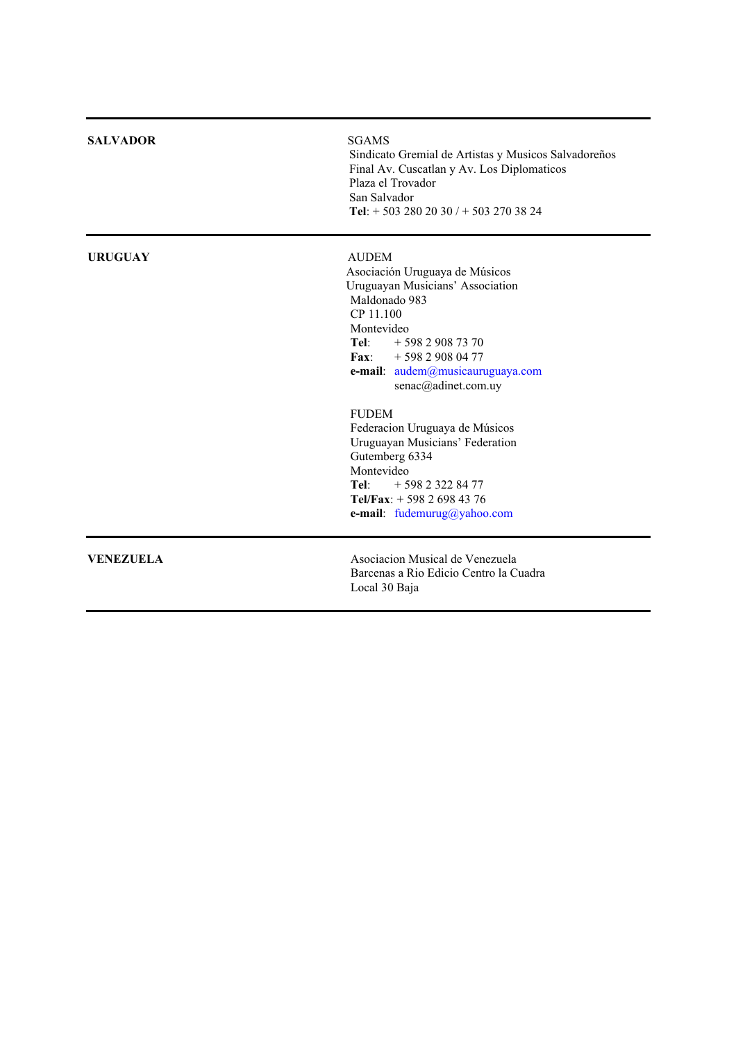| <b>SALVADOR</b>  | <b>SGAMS</b><br>Sindicato Gremial de Artistas y Musicos Salvadoreños<br>Final Av. Cuscatlan y Av. Los Diplomaticos<br>Plaza el Trovador<br>San Salvador<br>Tel: $+ 5032802030 / + 5032703824$                                                                                                                                                                                                                                                        |
|------------------|------------------------------------------------------------------------------------------------------------------------------------------------------------------------------------------------------------------------------------------------------------------------------------------------------------------------------------------------------------------------------------------------------------------------------------------------------|
| <b>URUGUAY</b>   | <b>AUDEM</b><br>Asociación Uruguaya de Músicos<br>Uruguayan Musicians' Association<br>Maldonado 983<br>CP 11.100<br>Montevideo<br>Tel: $+59829087370$<br>Fax: $+59829080477$<br>e-mail: audem@musicauruguaya.com<br>senac@adinet.com.uy<br><b>FUDEM</b><br>Federacion Uruguaya de Músicos<br>Uruguayan Musicians' Federation<br>Gutemberg 6334<br>Montevideo<br>Tel:<br>+ 598 2 322 84 77<br>Tel/Fax: $+ 59826984376$<br>e-mail: fudemurug@yahoo.com |
| <b>VENEZUELA</b> | Asociacion Musical de Venezuela<br>Barcenas a Rio Edicio Centro la Cuadra<br>Local 30 Baja                                                                                                                                                                                                                                                                                                                                                           |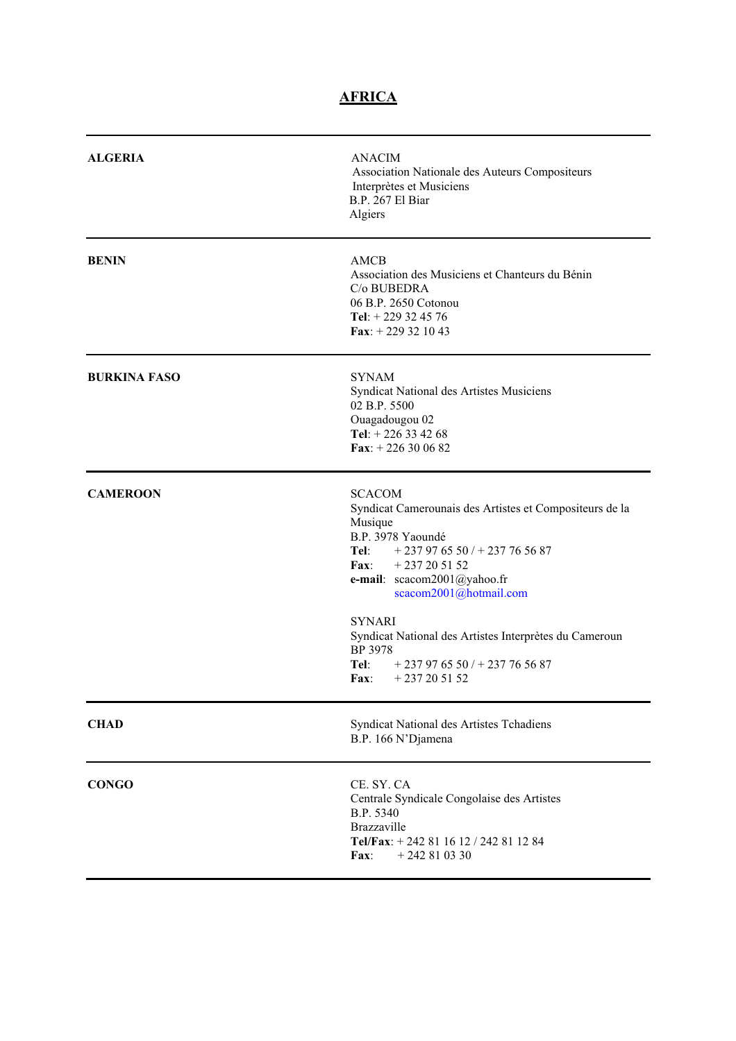# **AFRICA**

| <b>ALGERIA</b>      | <b>ANACIM</b><br>Association Nationale des Auteurs Compositeurs<br>Interprètes et Musiciens<br>B.P. 267 El Biar<br>Algiers                                                                                                                                                                              |
|---------------------|---------------------------------------------------------------------------------------------------------------------------------------------------------------------------------------------------------------------------------------------------------------------------------------------------------|
| <b>BENIN</b>        | AMCB<br>Association des Musiciens et Chanteurs du Bénin<br>C/o BUBEDRA<br>06 B.P. 2650 Cotonou<br>Tel: $+ 229$ 32 45 76<br>Fax: $+ 229321043$                                                                                                                                                           |
| <b>BURKINA FASO</b> | <b>SYNAM</b><br>Syndicat National des Artistes Musiciens<br>02 B.P. 5500<br>Ouagadougou 02<br>Tel: $+ 226$ 33 42 68<br>Fax: $+226300682$                                                                                                                                                                |
| <b>CAMEROON</b>     | <b>SCACOM</b><br>Syndicat Camerounais des Artistes et Compositeurs de la<br>Musique<br>B.P. 3978 Yaoundé<br>Tel:<br>$+237976550/+237765687$<br>$+237205152$<br>Fax:<br>e-mail: scacom2001@yahoo.fr<br>scacom2001@hotmail.com<br><b>SYNARI</b><br>Syndicat National des Artistes Interprètes du Cameroun |
|                     | BP 3978<br>Tel:<br>$+237976550/+237765687$<br>$+237205152$<br>Fax:                                                                                                                                                                                                                                      |
| <b>CHAD</b>         | Syndicat National des Artistes Tchadiens<br>B.P. 166 N'Djamena                                                                                                                                                                                                                                          |
| <b>CONGO</b>        | CE. SY. CA<br>Centrale Syndicale Congolaise des Artistes<br>B.P. 5340<br><b>Brazzaville</b><br>Tel/Fax: +242 81 16 12 / 242 81 12 84<br>$+242810330$<br>$\mathbf{Fax}:$                                                                                                                                 |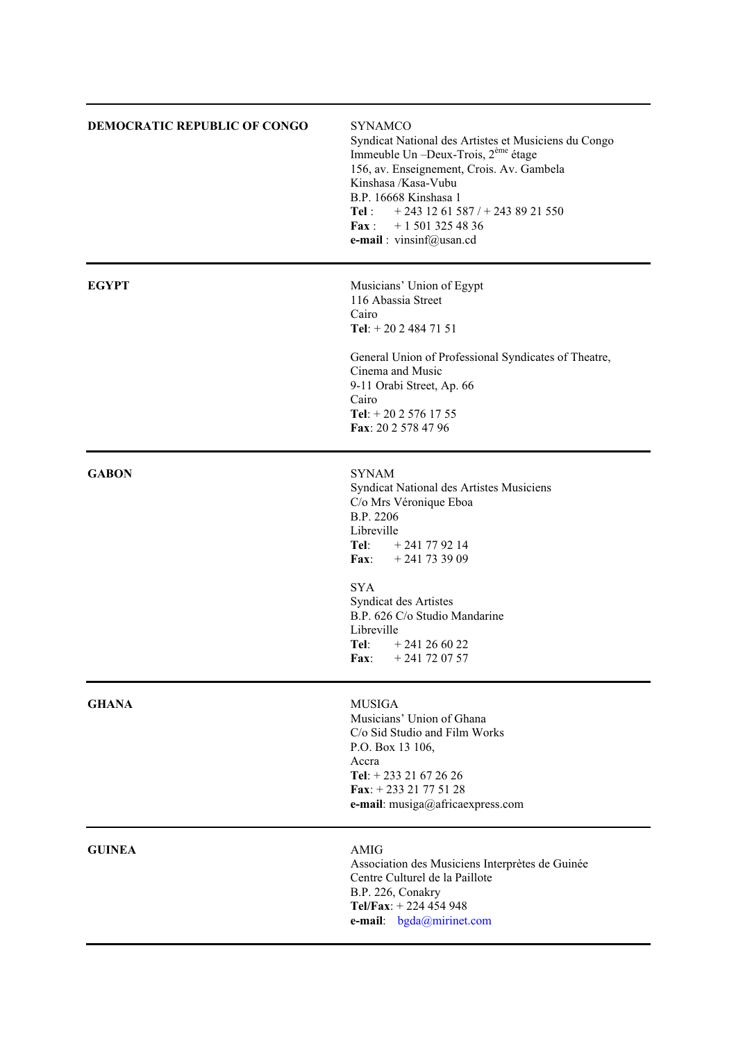| DEMOCRATIC REPUBLIC OF CONGO | <b>SYNAMCO</b><br>Syndicat National des Artistes et Musiciens du Congo<br>Immeuble Un -Deux-Trois, 2 <sup>ème</sup> étage<br>156, av. Enseignement, Crois. Av. Gambela<br>Kinshasa /Kasa-Vubu<br>B.P. 16668 Kinshasa 1<br>$+243$ 12 61 587 / + 243 89 21 550<br>Tel:<br>$+15013254836$<br>$\mathbf{Fax}:$<br>e-mail: vinsinf@usan.cd |  |
|------------------------------|--------------------------------------------------------------------------------------------------------------------------------------------------------------------------------------------------------------------------------------------------------------------------------------------------------------------------------------|--|
| <b>EGYPT</b>                 | Musicians' Union of Egypt<br>116 Abassia Street<br>Cairo<br>Tel: $+2024847151$<br>General Union of Professional Syndicates of Theatre,<br>Cinema and Music<br>9-11 Orabi Street, Ap. 66<br>Cairo<br>Tel: $+ 2025761755$<br>Fax: 20 2 578 47 96                                                                                       |  |
| <b>GABON</b>                 | <b>SYNAM</b><br>Syndicat National des Artistes Musiciens<br>C/o Mrs Véronique Eboa<br>B.P. 2206<br>Libreville<br>$+241$ 77 92 14<br>Tel:<br>$+241733909$<br>$\mathbf{Fax}:$<br><b>SYA</b><br><b>Syndicat des Artistes</b><br>B.P. 626 C/o Studio Mandarine<br>Libreville<br>Tel:<br>$+241266022$<br>Fax:<br>$+241$ 72 07 57          |  |
| <b>GHANA</b>                 | <b>MUSIGA</b><br>Musicians' Union of Ghana<br>C/o Sid Studio and Film Works<br>P.O. Box 13 106,<br>Accra<br>Tel: $+ 233 21 67 26 26$<br>Fax: $+23321775128$<br>e-mail: musiga@africaexpress.com                                                                                                                                      |  |
| <b>GUINEA</b>                | <b>AMIG</b><br>Association des Musiciens Interprètes de Guinée<br>Centre Culturel de la Paillote<br>B.P. 226, Conakry<br>Tel/Fax: $+ 224454948$<br>e-mail: bgda@mirinet.com                                                                                                                                                          |  |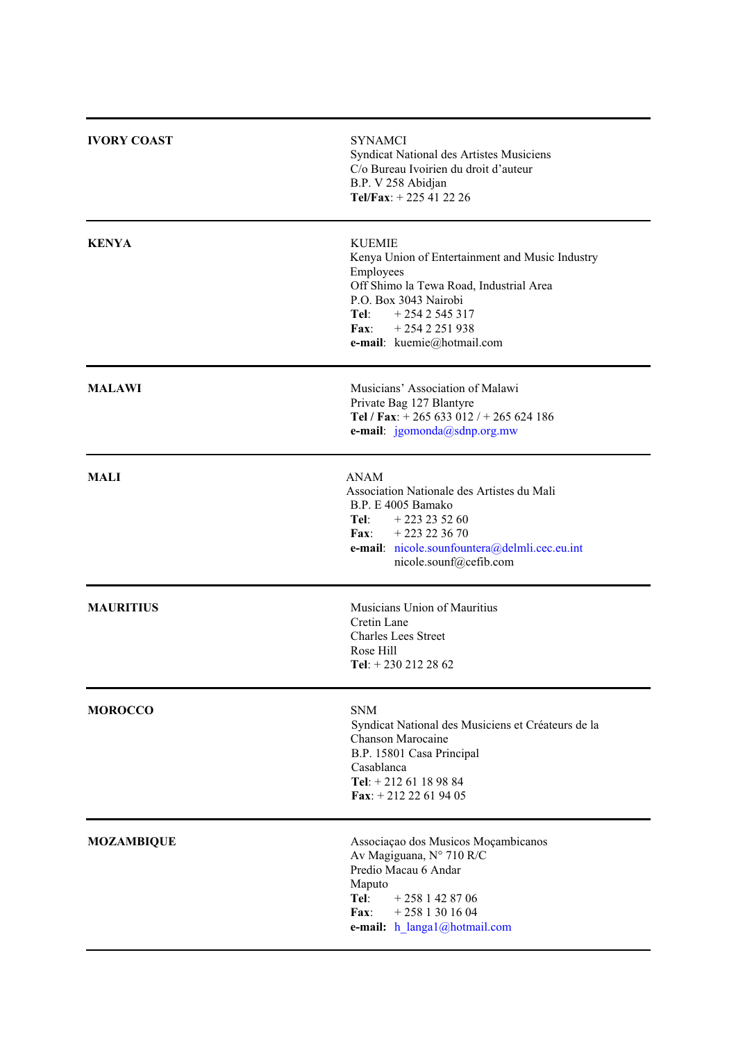| <b>IVORY COAST</b> | <b>SYNAMCI</b><br>Syndicat National des Artistes Musiciens<br>C/o Bureau Ivoirien du droit d'auteur<br>B.P. V 258 Abidjan<br>Tel/Fax: $+225412226$                                                                             |
|--------------------|--------------------------------------------------------------------------------------------------------------------------------------------------------------------------------------------------------------------------------|
| <b>KENYA</b>       | <b>KUEMIE</b><br>Kenya Union of Entertainment and Music Industry<br>Employees<br>Off Shimo la Tewa Road, Industrial Area<br>P.O. Box 3043 Nairobi<br>Tel: $+2542545317$<br>$+2542251938$<br>Fax:<br>e-mail: kuemie@hotmail.com |
| <b>MALAWI</b>      | Musicians' Association of Malawi<br>Private Bag 127 Blantyre<br>Tel / Fax: $+ 265633012$ / $+ 265624186$<br>e-mail: jgomonda@sdnp.org.mw                                                                                       |
| <b>MALI</b>        | <b>ANAM</b><br>Association Nationale des Artistes du Mali<br>B.P. E 4005 Bamako<br>Tel: $+223235260$<br>Fax: $+223223670$<br>e-mail: nicole.sounfountera@delmli.cec.eu.int<br>nicole.sounf@cefib.com                           |
| <b>MAURITIUS</b>   | Musicians Union of Mauritius<br>Cretin Lane<br><b>Charles Lees Street</b><br>Rose Hill<br>Tel: $+2302122862$                                                                                                                   |
| <b>MOROCCO</b>     | <b>SNM</b><br>Syndicat National des Musiciens et Créateurs de la<br>Chanson Marocaine<br>B.P. 15801 Casa Principal<br>Casablanca<br>Tel: $+ 21261189884$<br>Fax: $+21222619405$                                                |
| <b>MOZAMBIQUE</b>  | Associação dos Musicos Moçambicanos<br>Av Magiguana, N° 710 R/C<br>Predio Macau 6 Andar<br>Maputo<br>Tel:<br>$+2581428706$<br>$+2581301604$<br>$\mathbf{Fax}$ :<br>e-mail: h_langa1@hotmail.com                                |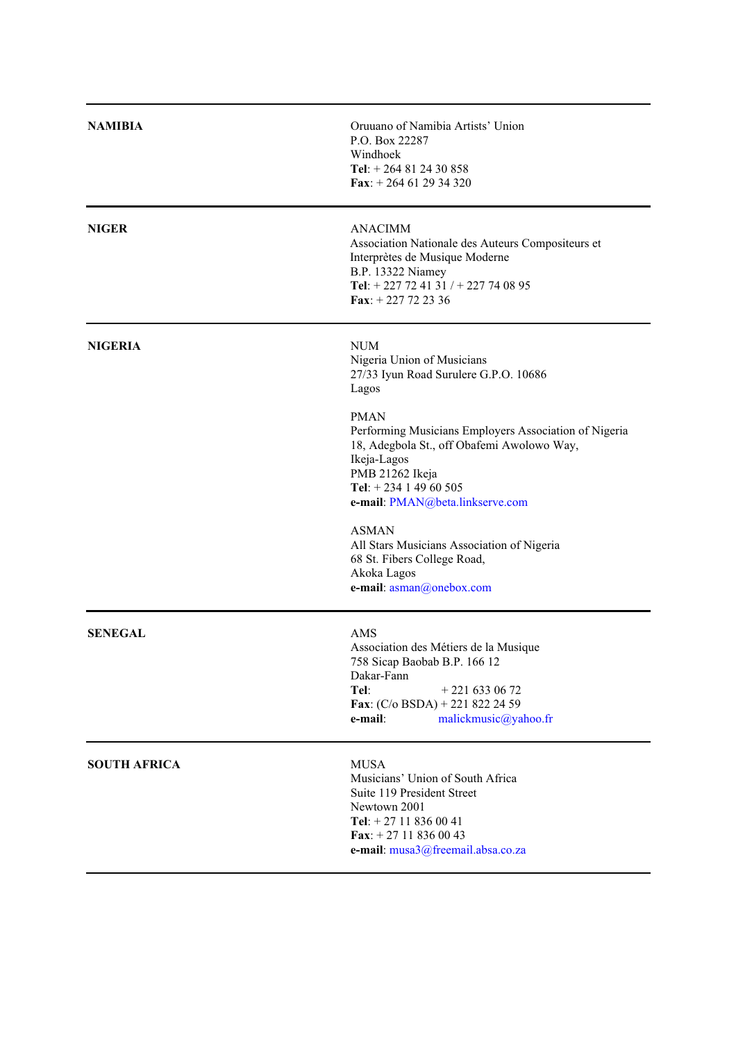| <b>NAMIBIA</b>      | Oruuano of Namibia Artists' Union<br>P.O. Box 22287<br>Windhoek<br>Tel: $+ 264812430858$<br>Fax: $+264612934320$                                                                                                                                                                                                                                                                                                                                          |
|---------------------|-----------------------------------------------------------------------------------------------------------------------------------------------------------------------------------------------------------------------------------------------------------------------------------------------------------------------------------------------------------------------------------------------------------------------------------------------------------|
| <b>NIGER</b>        | <b>ANACIMM</b><br>Association Nationale des Auteurs Compositeurs et<br>Interprètes de Musique Moderne<br>B.P. 13322 Niamey<br>Tel: + 227 72 41 31 / + 227 74 08 95<br>Fax: $+227722336$                                                                                                                                                                                                                                                                   |
| <b>NIGERIA</b>      | <b>NUM</b><br>Nigeria Union of Musicians<br>27/33 Iyun Road Surulere G.P.O. 10686<br>Lagos<br><b>PMAN</b><br>Performing Musicians Employers Association of Nigeria<br>18, Adegbola St., off Obafemi Awolowo Way,<br>Ikeja-Lagos<br>PMB 21262 Ikeja<br>Tel: $+ 234$ 1 49 60 505<br>e-mail: PMAN@beta.linkserve.com<br><b>ASMAN</b><br>All Stars Musicians Association of Nigeria<br>68 St. Fibers College Road,<br>Akoka Lagos<br>e-mail: asman@onebox.com |
| <b>SENEGAL</b>      | <b>AMS</b><br>Association des Métiers de la Musique<br>758 Sicap Baobab B.P. 166 12<br>Dakar-Fann<br>Tel:<br>$+2216330672$<br>Fax: $(C/O$ BSDA) + 221 822 24 59<br>e-mail:<br>malickmusic@yahoo.fr                                                                                                                                                                                                                                                        |
| <b>SOUTH AFRICA</b> | <b>MUSA</b><br>Musicians' Union of South Africa<br>Suite 119 President Street<br>Newtown 2001<br>Tel: $+ 27 11 836 00 41$<br>Fax: $+27118360043$<br>e-mail: musa3@freemail.absa.co.za                                                                                                                                                                                                                                                                     |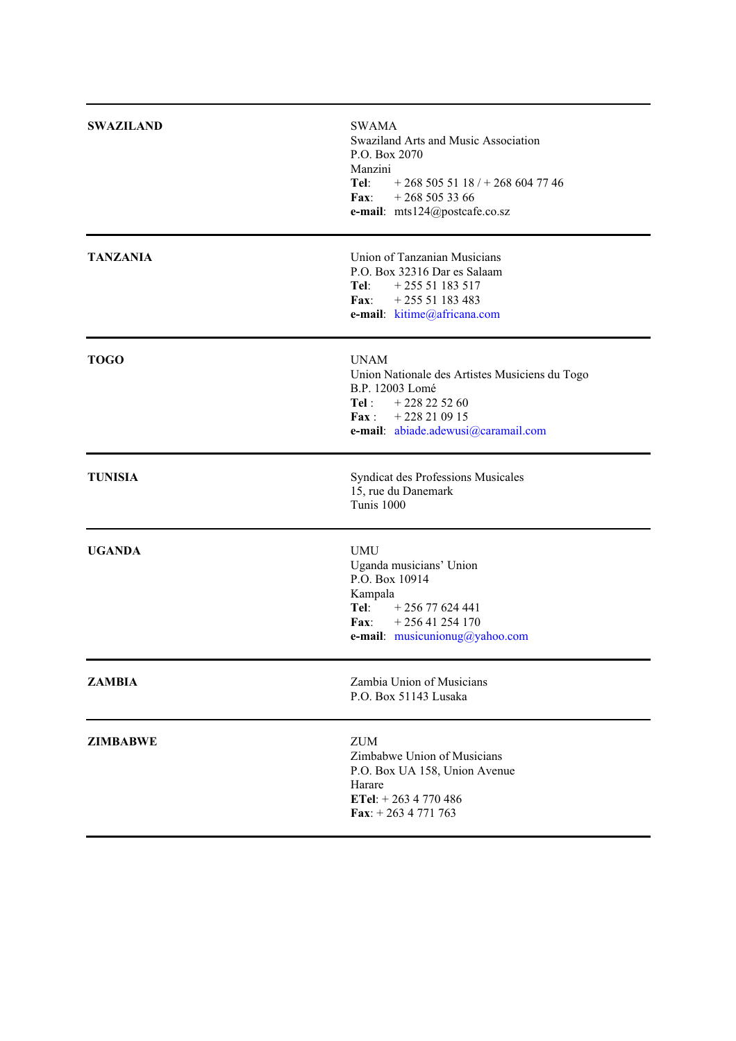| <b>SWAZILAND</b> | <b>SWAMA</b><br>Swaziland Arts and Music Association<br>P.O. Box 2070<br>Manzini<br>Tel: $+268\,505\,51\,18$ / $+268\,604\,77\,46$<br>Fax: $+268\,505\,33\,66$<br>e-mail: mts124@postcafe.co.sz |
|------------------|-------------------------------------------------------------------------------------------------------------------------------------------------------------------------------------------------|
| <b>TANZANIA</b>  | Union of Tanzanian Musicians<br>P.O. Box 32316 Dar es Salaam<br>Tel: $+25551183517$<br>Fax: $+25551183483$<br>e-mail: kitime@africana.com                                                       |
| <b>TOGO</b>      | <b>UNAM</b><br>Union Nationale des Artistes Musiciens du Togo<br>B.P. 12003 Lomé<br>Tel : $+228225260$<br>Fax: $+228210915$<br>e-mail: abiade.adewusi@caramail.com                              |
| <b>TUNISIA</b>   | Syndicat des Professions Musicales<br>15, rue du Danemark<br>Tunis 1000                                                                                                                         |
| <b>UGANDA</b>    | <b>UMU</b><br>Uganda musicians' Union<br>P.O. Box 10914<br>Kampala<br>Tel:<br>$+25677624441$<br>Fax:<br>$+25641254170$<br>e-mail: musicunionug@yahoo.com                                        |
| <b>ZAMBIA</b>    | Zambia Union of Musicians<br>P.O. Box 51143 Lusaka                                                                                                                                              |
| <b>ZIMBABWE</b>  | <b>ZUM</b><br>Zimbabwe Union of Musicians<br>P.O. Box UA 158, Union Avenue<br>Harare<br>ETel: $+ 263 4 770 486$<br>Fax: $+ 263 4 771 763$                                                       |